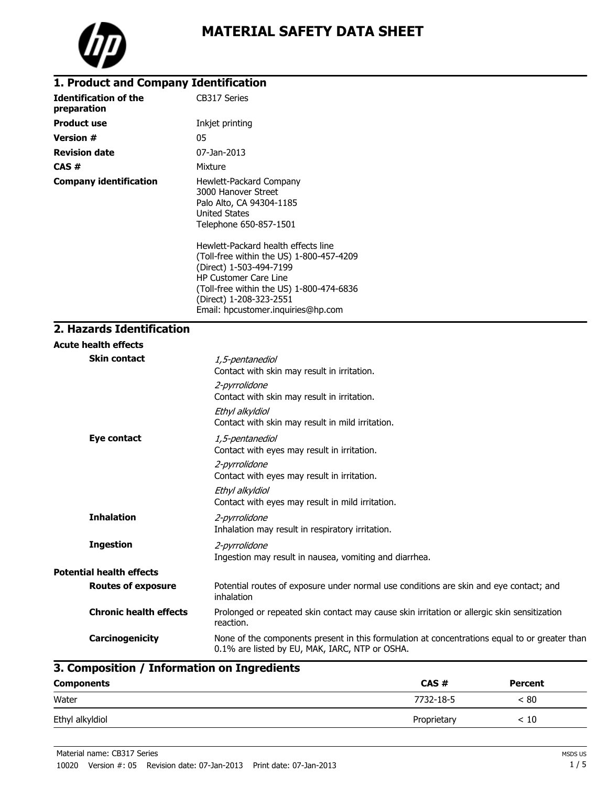

### **1. Product and Company Identification**

| <b>Identification of the</b><br>preparation | CB317 Series                                                                                                                                                                                                                                            |
|---------------------------------------------|---------------------------------------------------------------------------------------------------------------------------------------------------------------------------------------------------------------------------------------------------------|
| <b>Product use</b>                          | Inkjet printing                                                                                                                                                                                                                                         |
| <b>Version #</b>                            | 05                                                                                                                                                                                                                                                      |
| <b>Revision date</b>                        | 07-Jan-2013                                                                                                                                                                                                                                             |
| CAS#                                        | Mixture                                                                                                                                                                                                                                                 |
| <b>Company identification</b>               | Hewlett-Packard Company<br>3000 Hanover Street<br>Palo Alto, CA 94304-1185<br><b>United States</b><br>Telephone 650-857-1501                                                                                                                            |
|                                             | Hewlett-Packard health effects line<br>(Toll-free within the US) 1-800-457-4209<br>(Direct) 1-503-494-7199<br><b>HP Customer Care Line</b><br>(Toll-free within the US) 1-800-474-6836<br>(Direct) 1-208-323-2551<br>Email: hpcustomer.inquiries@hp.com |

## **2. Hazards Identification**

|                                 | <b>Acute health effects</b>   |                                                                                                                                                 |
|---------------------------------|-------------------------------|-------------------------------------------------------------------------------------------------------------------------------------------------|
|                                 | <b>Skin contact</b>           | 1,5-pentanediol<br>Contact with skin may result in irritation.                                                                                  |
|                                 |                               | 2-pyrrolidone<br>Contact with skin may result in irritation.                                                                                    |
|                                 |                               | Ethyl alkyldiol<br>Contact with skin may result in mild irritation.                                                                             |
|                                 | Eye contact                   | 1,5-pentanediol<br>Contact with eyes may result in irritation.<br>2-pyrrolidone<br>Contact with eyes may result in irritation.                  |
|                                 |                               | Ethyl alkyldiol<br>Contact with eyes may result in mild irritation.                                                                             |
|                                 | <b>Inhalation</b>             | 2-pyrrolidone<br>Inhalation may result in respiratory irritation.                                                                               |
|                                 | <b>Ingestion</b>              | 2-pyrrolidone<br>Ingestion may result in nausea, vomiting and diarrhea.                                                                         |
| <b>Potential health effects</b> |                               |                                                                                                                                                 |
|                                 | <b>Routes of exposure</b>     | Potential routes of exposure under normal use conditions are skin and eye contact; and<br>inhalation                                            |
|                                 | <b>Chronic health effects</b> | Prolonged or repeated skin contact may cause skin irritation or allergic skin sensitization<br>reaction.                                        |
|                                 | Carcinogenicity               | None of the components present in this formulation at concentrations equal to or greater than<br>0.1% are listed by EU, MAK, IARC, NTP or OSHA. |

# **3. Composition / Information on Ingredients**

| <b>Components</b> | CAS#        | <b>Percent</b> |
|-------------------|-------------|----------------|
| Water             | 7732-18-5   | < 80           |
| Ethyl alkyldiol   | Proprietary | < 10           |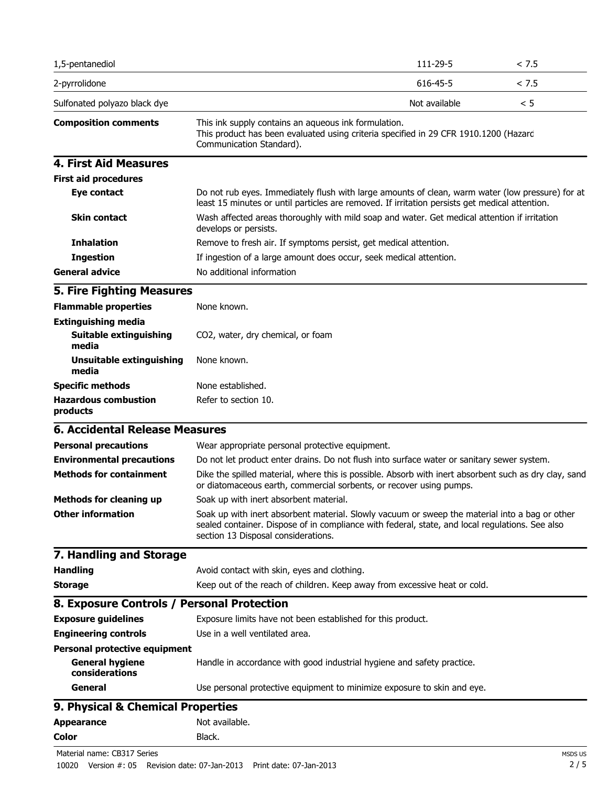| 1,5-pentanediol                                                                  |                                                                                                                                                                                                                                          | 111-29-5      | < 7.5 |
|----------------------------------------------------------------------------------|------------------------------------------------------------------------------------------------------------------------------------------------------------------------------------------------------------------------------------------|---------------|-------|
| 2-pyrrolidone                                                                    |                                                                                                                                                                                                                                          | 616-45-5      | < 7.5 |
| Sulfonated polyazo black dye                                                     |                                                                                                                                                                                                                                          | Not available | < 5   |
| <b>Composition comments</b>                                                      | This ink supply contains an aqueous ink formulation.<br>This product has been evaluated using criteria specified in 29 CFR 1910.1200 (Hazard<br>Communication Standard).                                                                 |               |       |
| <b>4. First Aid Measures</b>                                                     |                                                                                                                                                                                                                                          |               |       |
| <b>First aid procedures</b>                                                      |                                                                                                                                                                                                                                          |               |       |
| Eye contact                                                                      | Do not rub eyes. Immediately flush with large amounts of clean, warm water (low pressure) for at<br>least 15 minutes or until particles are removed. If irritation persists get medical attention.                                       |               |       |
| <b>Skin contact</b>                                                              | Wash affected areas thoroughly with mild soap and water. Get medical attention if irritation<br>develops or persists.                                                                                                                    |               |       |
| <b>Inhalation</b>                                                                | Remove to fresh air. If symptoms persist, get medical attention.                                                                                                                                                                         |               |       |
| <b>Ingestion</b>                                                                 | If ingestion of a large amount does occur, seek medical attention.                                                                                                                                                                       |               |       |
| <b>General advice</b>                                                            | No additional information                                                                                                                                                                                                                |               |       |
| <b>5. Fire Fighting Measures</b>                                                 |                                                                                                                                                                                                                                          |               |       |
| <b>Flammable properties</b>                                                      | None known.                                                                                                                                                                                                                              |               |       |
| <b>Extinguishing media</b><br><b>Suitable extinguishing</b><br>media             | CO2, water, dry chemical, or foam                                                                                                                                                                                                        |               |       |
| Unsuitable extinguishing<br>media                                                | None known.                                                                                                                                                                                                                              |               |       |
| <b>Specific methods</b>                                                          | None established.                                                                                                                                                                                                                        |               |       |
| <b>Hazardous combustion</b><br>products                                          | Refer to section 10.                                                                                                                                                                                                                     |               |       |
| <b>6. Accidental Release Measures</b>                                            |                                                                                                                                                                                                                                          |               |       |
| <b>Personal precautions</b>                                                      | Wear appropriate personal protective equipment.                                                                                                                                                                                          |               |       |
| <b>Environmental precautions</b>                                                 | Do not let product enter drains. Do not flush into surface water or sanitary sewer system.                                                                                                                                               |               |       |
| <b>Methods for containment</b>                                                   | Dike the spilled material, where this is possible. Absorb with inert absorbent such as dry clay, sand<br>or diatomaceous earth, commercial sorbents, or recover using pumps.                                                             |               |       |
| <b>Methods for cleaning up</b>                                                   | Soak up with inert absorbent material.                                                                                                                                                                                                   |               |       |
| <b>Other information</b>                                                         | Soak up with inert absorbent material. Slowly vacuum or sweep the material into a bag or other<br>sealed container. Dispose of in compliance with federal, state, and local regulations. See also<br>section 13 Disposal considerations. |               |       |
| 7. Handling and Storage                                                          |                                                                                                                                                                                                                                          |               |       |
| <b>Handling</b>                                                                  | Avoid contact with skin, eyes and clothing.                                                                                                                                                                                              |               |       |
| <b>Storage</b>                                                                   | Keep out of the reach of children. Keep away from excessive heat or cold.                                                                                                                                                                |               |       |
| 8. Exposure Controls / Personal Protection                                       |                                                                                                                                                                                                                                          |               |       |
| <b>Exposure guidelines</b>                                                       | Exposure limits have not been established for this product.                                                                                                                                                                              |               |       |
| <b>Engineering controls</b>                                                      | Use in a well ventilated area.                                                                                                                                                                                                           |               |       |
| <b>Personal protective equipment</b><br><b>General hygiene</b><br>considerations | Handle in accordance with good industrial hygiene and safety practice.                                                                                                                                                                   |               |       |
| General                                                                          | Use personal protective equipment to minimize exposure to skin and eye.                                                                                                                                                                  |               |       |
| 9. Physical & Chemical Properties                                                |                                                                                                                                                                                                                                          |               |       |
| <b>Appearance</b>                                                                | Not available.                                                                                                                                                                                                                           |               |       |
| <b>Color</b>                                                                     | Black.                                                                                                                                                                                                                                   |               |       |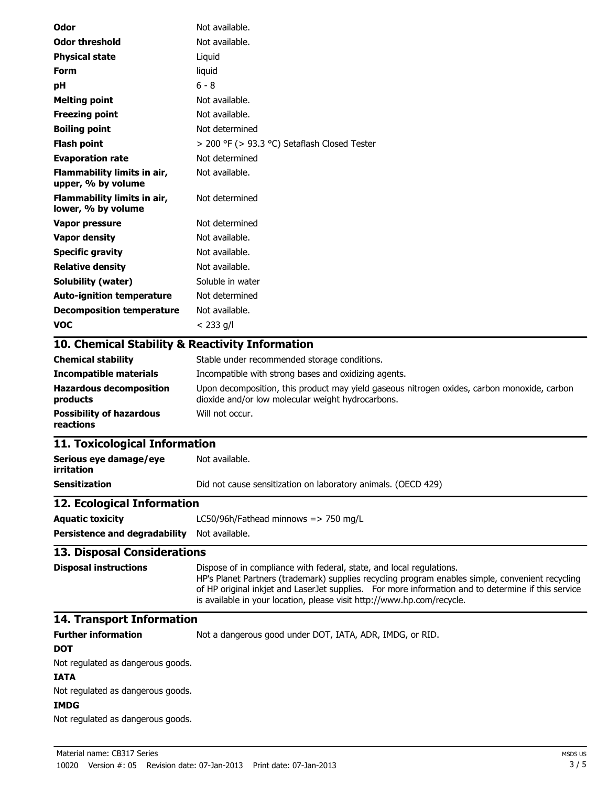| Odor                                              | Not available.                                                                                                                                                                                                                                                                                                                                           |
|---------------------------------------------------|----------------------------------------------------------------------------------------------------------------------------------------------------------------------------------------------------------------------------------------------------------------------------------------------------------------------------------------------------------|
| <b>Odor threshold</b>                             | Not available.                                                                                                                                                                                                                                                                                                                                           |
| <b>Physical state</b>                             | Liquid                                                                                                                                                                                                                                                                                                                                                   |
| Form                                              | liquid                                                                                                                                                                                                                                                                                                                                                   |
| pH                                                | $6 - 8$                                                                                                                                                                                                                                                                                                                                                  |
| <b>Melting point</b>                              | Not available.                                                                                                                                                                                                                                                                                                                                           |
| <b>Freezing point</b>                             | Not available.                                                                                                                                                                                                                                                                                                                                           |
| <b>Boiling point</b>                              | Not determined                                                                                                                                                                                                                                                                                                                                           |
| <b>Flash point</b>                                | > 200 °F (> 93.3 °C) Setaflash Closed Tester                                                                                                                                                                                                                                                                                                             |
| <b>Evaporation rate</b>                           | Not determined                                                                                                                                                                                                                                                                                                                                           |
| Flammability limits in air,<br>upper, % by volume | Not available.                                                                                                                                                                                                                                                                                                                                           |
| Flammability limits in air,<br>lower, % by volume | Not determined                                                                                                                                                                                                                                                                                                                                           |
| Vapor pressure                                    | Not determined                                                                                                                                                                                                                                                                                                                                           |
| <b>Vapor density</b>                              | Not available.                                                                                                                                                                                                                                                                                                                                           |
| <b>Specific gravity</b>                           | Not available.                                                                                                                                                                                                                                                                                                                                           |
| <b>Relative density</b>                           | Not available.                                                                                                                                                                                                                                                                                                                                           |
| <b>Solubility (water)</b>                         | Soluble in water                                                                                                                                                                                                                                                                                                                                         |
| <b>Auto-ignition temperature</b>                  | Not determined                                                                                                                                                                                                                                                                                                                                           |
| <b>Decomposition temperature</b>                  | Not available.                                                                                                                                                                                                                                                                                                                                           |
| <b>VOC</b>                                        | $< 233$ g/l                                                                                                                                                                                                                                                                                                                                              |
| 10. Chemical Stability & Reactivity Information   |                                                                                                                                                                                                                                                                                                                                                          |
| <b>Chemical stability</b>                         | Stable under recommended storage conditions.                                                                                                                                                                                                                                                                                                             |
| <b>Incompatible materials</b>                     | Incompatible with strong bases and oxidizing agents.                                                                                                                                                                                                                                                                                                     |
| <b>Hazardous decomposition</b><br>products        | Upon decomposition, this product may yield gaseous nitrogen oxides, carbon monoxide, carbon<br>dioxide and/or low molecular weight hydrocarbons.                                                                                                                                                                                                         |
| <b>Possibility of hazardous</b><br>reactions      | Will not occur.                                                                                                                                                                                                                                                                                                                                          |
| 11. Toxicological Information                     |                                                                                                                                                                                                                                                                                                                                                          |
| Serious eye damage/eye<br>irritation              | Not available.                                                                                                                                                                                                                                                                                                                                           |
| <b>Sensitization</b>                              | Did not cause sensitization on laboratory animals. (OECD 429)                                                                                                                                                                                                                                                                                            |
| 12. Ecological Information                        |                                                                                                                                                                                                                                                                                                                                                          |
| <b>Aquatic toxicity</b>                           | LC50/96h/Fathead minnows => 750 mg/L                                                                                                                                                                                                                                                                                                                     |
| Persistence and degradability Not available.      |                                                                                                                                                                                                                                                                                                                                                          |
| 13. Disposal Considerations                       |                                                                                                                                                                                                                                                                                                                                                          |
| <b>Disposal instructions</b>                      | Dispose of in compliance with federal, state, and local regulations.<br>HP's Planet Partners (trademark) supplies recycling program enables simple, convenient recycling<br>of HP original inkjet and LaserJet supplies. For more information and to determine if this service<br>is available in your location, please visit http://www.hp.com/recycle. |
| 14. Transport Information                         |                                                                                                                                                                                                                                                                                                                                                          |
| <b>Further information</b>                        | Not a dangerous good under DOT, IATA, ADR, IMDG, or RID.                                                                                                                                                                                                                                                                                                 |
| DOT                                               |                                                                                                                                                                                                                                                                                                                                                          |
| Not regulated as dangerous goods.                 |                                                                                                                                                                                                                                                                                                                                                          |
| <b>IATA</b>                                       |                                                                                                                                                                                                                                                                                                                                                          |
| Not regulated as dangerous goods.                 |                                                                                                                                                                                                                                                                                                                                                          |
| <b>IMDG</b>                                       |                                                                                                                                                                                                                                                                                                                                                          |
| Not regulated as dangerous goods.                 |                                                                                                                                                                                                                                                                                                                                                          |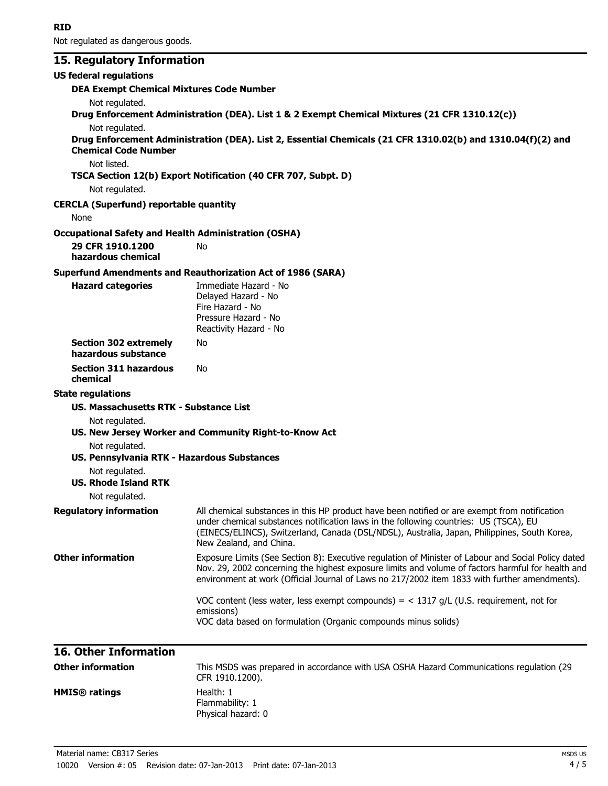Not regulated as dangerous goods.

## **15. Regulatory Information**

| <b>US federal regulations</b>                               |                                                                                                                                                                                        |
|-------------------------------------------------------------|----------------------------------------------------------------------------------------------------------------------------------------------------------------------------------------|
| <b>DEA Exempt Chemical Mixtures Code Number</b>             |                                                                                                                                                                                        |
| Not regulated.                                              |                                                                                                                                                                                        |
|                                                             | Drug Enforcement Administration (DEA). List 1 & 2 Exempt Chemical Mixtures (21 CFR 1310.12(c))                                                                                         |
| Not regulated.                                              |                                                                                                                                                                                        |
| <b>Chemical Code Number</b>                                 | Drug Enforcement Administration (DEA). List 2, Essential Chemicals (21 CFR 1310.02(b) and 1310.04(f)(2) and                                                                            |
| Not listed.                                                 |                                                                                                                                                                                        |
|                                                             | TSCA Section 12(b) Export Notification (40 CFR 707, Subpt. D)                                                                                                                          |
| Not regulated.                                              |                                                                                                                                                                                        |
| <b>CERCLA (Superfund) reportable quantity</b>               |                                                                                                                                                                                        |
| None                                                        |                                                                                                                                                                                        |
| <b>Occupational Safety and Health Administration (OSHA)</b> |                                                                                                                                                                                        |
| 29 CFR 1910.1200<br>hazardous chemical                      | No                                                                                                                                                                                     |
|                                                             | <b>Superfund Amendments and Reauthorization Act of 1986 (SARA)</b>                                                                                                                     |
| <b>Hazard categories</b>                                    | Immediate Hazard - No                                                                                                                                                                  |
|                                                             | Delayed Hazard - No                                                                                                                                                                    |
|                                                             | Fire Hazard - No<br>Pressure Hazard - No                                                                                                                                               |
|                                                             | Reactivity Hazard - No                                                                                                                                                                 |
| <b>Section 302 extremely</b>                                | No                                                                                                                                                                                     |
| hazardous substance                                         |                                                                                                                                                                                        |
| <b>Section 311 hazardous</b>                                | No                                                                                                                                                                                     |
| chemical                                                    |                                                                                                                                                                                        |
| <b>State regulations</b>                                    |                                                                                                                                                                                        |
| <b>US. Massachusetts RTK - Substance List</b>               |                                                                                                                                                                                        |
| Not regulated.                                              |                                                                                                                                                                                        |
|                                                             | US. New Jersey Worker and Community Right-to-Know Act                                                                                                                                  |
| Not regulated.                                              |                                                                                                                                                                                        |
| US. Pennsylvania RTK - Hazardous Substances                 |                                                                                                                                                                                        |
| Not regulated.<br><b>US. Rhode Island RTK</b>               |                                                                                                                                                                                        |
|                                                             |                                                                                                                                                                                        |
| Not regulated.                                              |                                                                                                                                                                                        |
| <b>Regulatory information</b>                               | All chemical substances in this HP product have been notified or are exempt from notification<br>under chemical substances notification laws in the following countries: US (TSCA), EU |
|                                                             | (EINECS/ELINCS), Switzerland, Canada (DSL/NDSL), Australia, Japan, Philippines, South Korea,                                                                                           |
|                                                             | New Zealand, and China.                                                                                                                                                                |
| <b>Other information</b>                                    | Exposure Limits (See Section 8): Executive regulation of Minister of Labour and Social Policy dated                                                                                    |
|                                                             | Nov. 29, 2002 concerning the highest exposure limits and volume of factors harmful for health and                                                                                      |
|                                                             | environment at work (Official Journal of Laws no 217/2002 item 1833 with further amendments).                                                                                          |
|                                                             | VOC content (less water, less exempt compounds) = $<$ 1317 g/L (U.S. requirement, not for                                                                                              |
|                                                             | emissions)                                                                                                                                                                             |
|                                                             | VOC data based on formulation (Organic compounds minus solids)                                                                                                                         |
| <b>16. Other Information</b>                                |                                                                                                                                                                                        |
| <b>Other information</b>                                    | This MSDS was prepared in accordance with USA OSHA Hazard Communications regulation (29                                                                                                |
|                                                             | CFR 1910.1200).                                                                                                                                                                        |

Flammability: 1 Physical hazard: 0

**HMIS<sup>®</sup> ratings** Health: 1